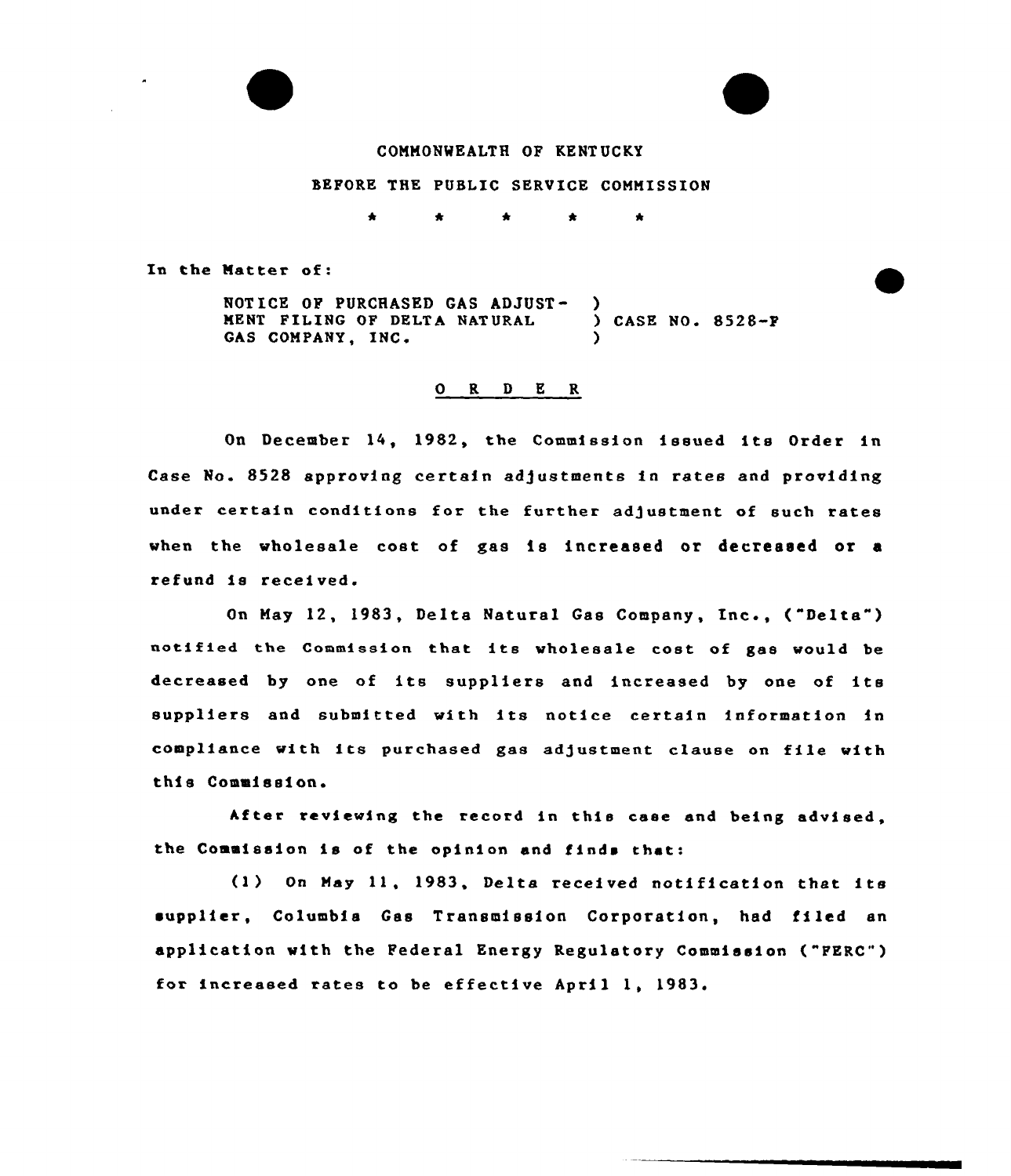

## COMMONWEALTH OF KENT UCKY

#### BEFORE THE PUBLIC SERVICE COMMISSION

 $\bullet$  $\star$ 

In the Matter of:

NOTICE OF PURCHASED GAS ADJUST-<br>
NENT FILING OF DELTA NATURAL (CASE NO. 8528-F) MENT FILING OF DELTA NATURAL GAS COMPANY, INC.

### 0 R <sup>D</sup> E R

On December 14, 1982, the Commission issued its Order in Case No. 8528 approving certain adjustments in rates and providing under certain conditions for the further adjustment of such rates when the wholesale cost of gas is increased or decreased or <sup>a</sup> refund is received.

On May 12, 1983, Delta Natural Gas Company, Inc., ("Delta" ) notified the Commission that its wholesale cost of gas would be decreased by one of its suppliers and increased by one of its suppliers and submitted with its notice certain information in compliance with its purchased gas adjustment clause on file with this Commission.

After reviewing the record in this case and being advised, the Commission is of the opinion and finds that:

(1) On May 11, 1983, Delta received notification that its supplier, Columbia Gss Transmission Corporation, had filed an application with the Federal Energy Regulatory Commission ("PERC") for increased rates to be effective April 1, 1983.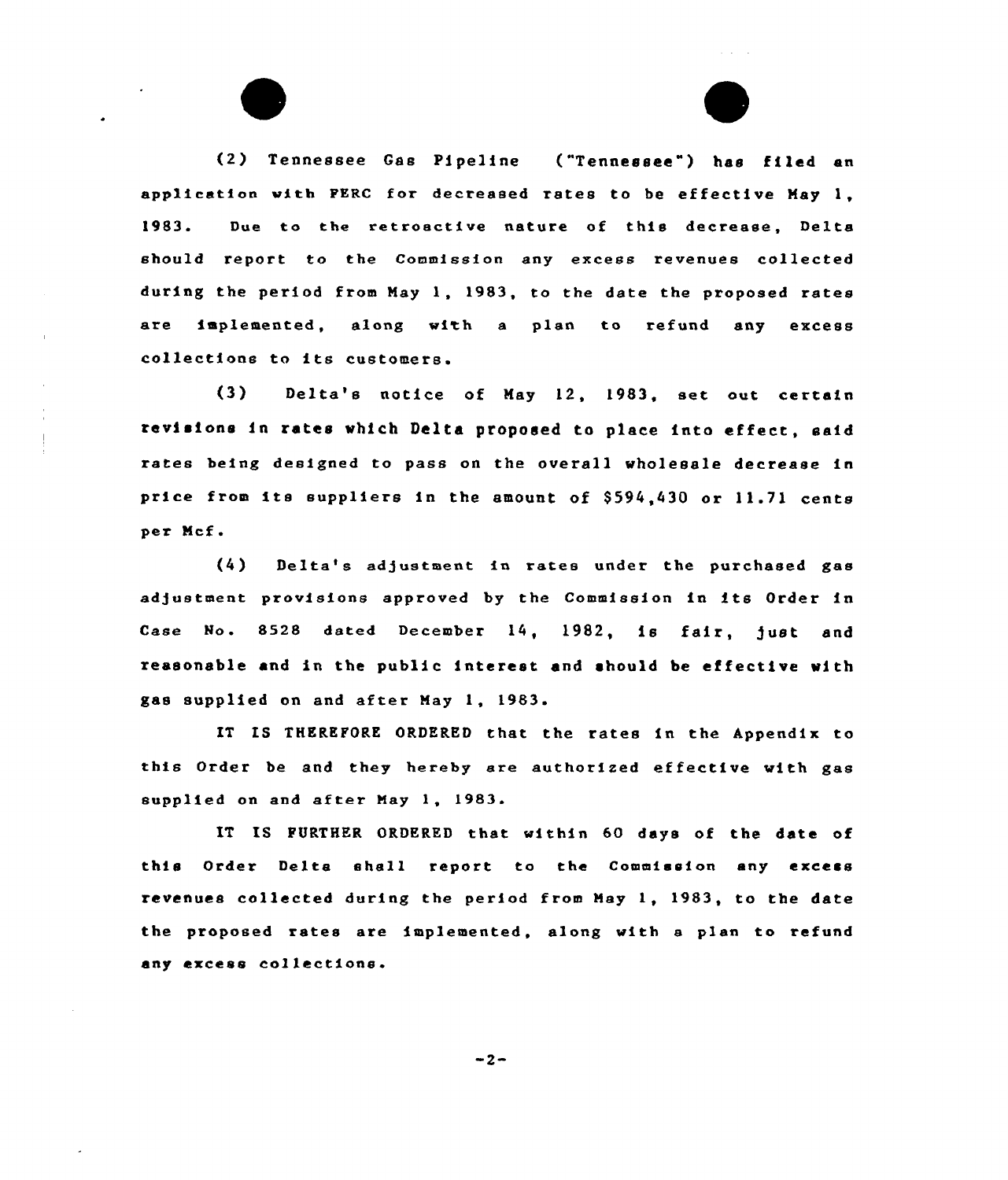(2) Tennessee Gas Pipeline ("Tennessee") has filed an application with PERC for decreased rates to be effective May 1, 1983. Due to the retroactive nature of this decrease, Delta should report to the Commission any excess revenues collected during the period from May 1, 1983, to the date the proposed rates are implemented, along with a plan to refund any excess collections to its customers.

 $(3)$ Delta's notice of May 12, 1983, set out certain revisions in rates which Delta proposed to place into effect, said rates being designed to pass on the overall wholesale decrease in price from its suppliers in the amount of \$594,430 or 11.71 cents per Ncf.

(4) Delta's ad/ustment in rates under the purchased gas adjustment provisions approved by the Commission in its Order in Case No. 8528 dated December 14, 1982, is fair, just and reasonable and in the public interest and should be effective with gas supplied on and after Nay 1, 1983.

XT IS THEREFORE ORDERED that the rates in the Appendix to this Oxder be and they hereby are authorized effective with gas supplied on and after May 1, 1983.

IT IS FURTHER ORDERED that within 60 days of the date of this Order Delta shell report to the Commission any excess revenues collected during the period from May 1, 1983, to the date the proposed rates are implemented, along with a plan to refund any excess collections.

 $-2-$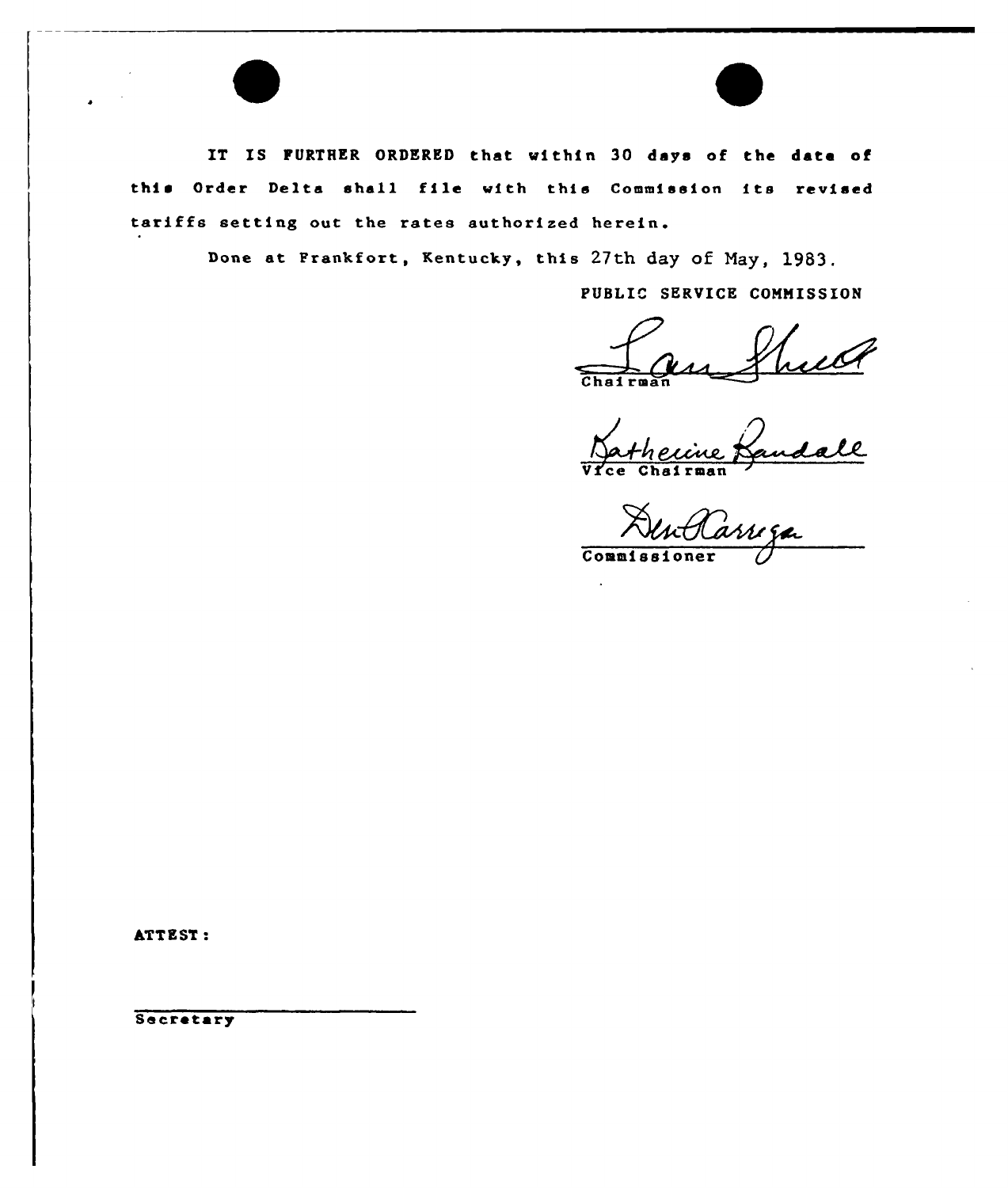IT IS FURTHER ORDERED that within 30 days of the data of this Order Delta shall file with this Commission its revised tariffs setting out the rates authorized herein.

Done at Frankfort, Kentucky, this 27th dag of Nay, 1983.

PUBLIC SERVICE COMMISSION

Chairma

Bandall

E cuarinan

Commis

ATTEST:

Secretary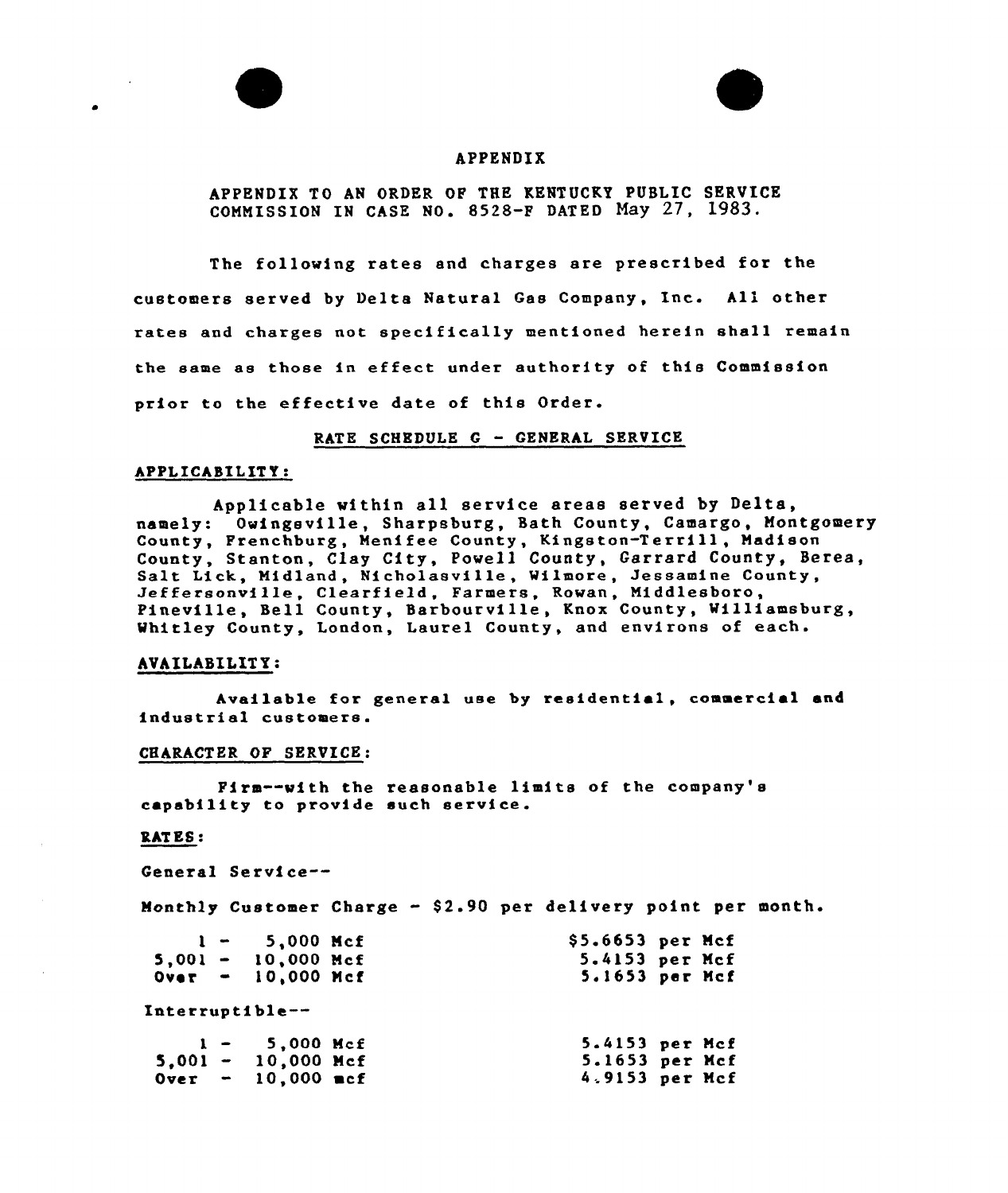



## APPENDIX

APPENDIX TO AN ORDER OF THE KENTUCKY PUBLIC SERVICE COMMISSION IN CASE NO. 8528-F DATED May 27, 1983.

The following rates and charges are prescribed for the customers served by Delta Natural Gas Company, Inc. All other rates and charges not specifically mentioned herein shall remain the same as those in effect under authority of this Commission prior to the effective date of this Order.

#### RATE SCHEDULE <sup>G</sup> — GENERAL SERVICE

### APPLICABILITY:

Applicable within all service areas served by Delta, namely: Owingsville, Sharpsburg, Bath County, Camargo, Montgomery namery: vwrmgovrrie, Sharpsburg, Such Sounty, Serango, Hence County, Stanton, Clay City, Powell County, Garrard County, Berea, Salt Lick, Midland, Nicholasville, Wilmore, Jessamine County,<br>Jeffersonville, Clearfield, Farmers, Rowan, Middlesboro, Pineville, Bell County, Barbourville, Knox County, Milliamsburg, Whitley County, Landon, Laurel County, and environs of each.

### AVAILABILITY:

Available for general use by residential, commercial and industrial customers.

#### CHARACTER OF SERVICE:

Firm--with the reasonable limits of the company's capability to provide such service.

### RAT ES:

General Service--

Monthly Customer Charge - \$2.90 per delivery point per month.

|  | $1 - 5,000$ Mcf             | $$5.6653$ per Mcf |  |
|--|-----------------------------|-------------------|--|
|  | $5,001 - 10,000$ Mcf        | 5.4153 per Mcf    |  |
|  | $Over = 10,000$ Mcf         | 5.1653 per Mcf    |  |
|  | Interruptible--             |                   |  |
|  | $1 - 5,000$ Mcf             | 5.4153 per Mcf    |  |
|  | $5.001 - 10,000$ Mcf        | 5.1653 per Mcf    |  |
|  | $0 \text{ver}$ - 10,000 mcf | 4.9153 per Mcf    |  |